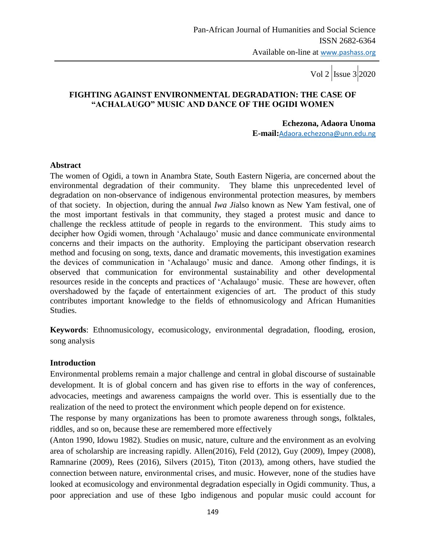## **FIGHTING AGAINST ENVIRONMENTAL DEGRADATION: THE CASE OF "ACHALAUGO" MUSIC AND DANCE OF THE OGIDI WOMEN**

 **Echezona, Adaora Unoma E-mail:**[Adaora.echezona@unn.edu.ng](mailto:Adaora.echezona@unn.edu.ng)

#### **Abstract**

The women of Ogidi, a town in Anambra State, South Eastern Nigeria, are concerned about the environmental degradation of their community. They blame this unprecedented level of degradation on non-observance of indigenous environmental protection measures, by members of that society. In objection, during the annual *Iwa Ji*also known as New Yam festival, one of the most important festivals in that community, they staged a protest music and dance to challenge the reckless attitude of people in regards to the environment. This study aims to decipher how Ogidi women, through "Achalaugo" music and dance communicate environmental concerns and their impacts on the authority. Employing the participant observation research method and focusing on song, texts, dance and dramatic movements, this investigation examines the devices of communication in "Achalaugo" music and dance. Among other findings, it is observed that communication for environmental sustainability and other developmental resources reside in the concepts and practices of "Achalaugo" music. These are however, often overshadowed by the façade of entertainment exigencies of art. The product of this study contributes important knowledge to the fields of ethnomusicology and African Humanities Studies.

**Keywords**: Ethnomusicology, ecomusicology, environmental degradation, flooding, erosion, song analysis

### **Introduction**

Environmental problems remain a major challenge and central in global discourse of sustainable development. It is of global concern and has given rise to efforts in the way of conferences, advocacies, meetings and awareness campaigns the world over. This is essentially due to the realization of the need to protect the environment which people depend on for existence.

The response by many organizations has been to promote awareness through songs, folktales, riddles, and so on, because these are remembered more effectively

(Anton 1990, Idowu 1982). Studies on music, nature, culture and the environment as an evolving area of scholarship are increasing rapidly. Allen(2016), Feld (2012), Guy (2009), Impey (2008), Ramnarine (2009), Rees (2016), Silvers (2015), Titon (2013), among others, have studied the connection between nature, environmental crises, and music. However, none of the studies have looked at ecomusicology and environmental degradation especially in Ogidi community. Thus, a poor appreciation and use of these Igbo indigenous and popular music could account for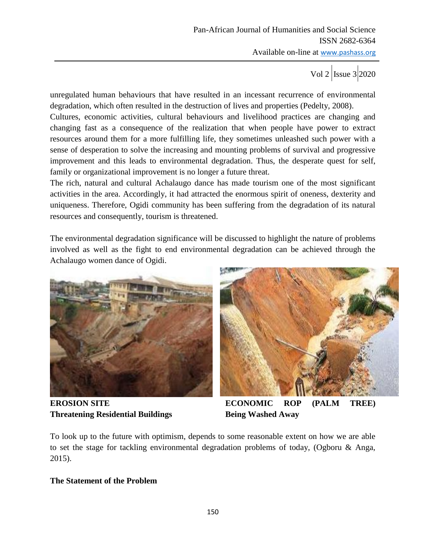unregulated human behaviours that have resulted in an incessant recurrence of environmental degradation, which often resulted in the destruction of lives and properties (Pedelty, 2008).

Cultures, economic activities, cultural behaviours and livelihood practices are changing and changing fast as a consequence of the realization that when people have power to extract resources around them for a more fulfilling life, they sometimes unleashed such power with a sense of desperation to solve the increasing and mounting problems of survival and progressive improvement and this leads to environmental degradation. Thus, the desperate quest for self, family or organizational improvement is no longer a future threat.

The rich, natural and cultural Achalaugo dance has made tourism one of the most significant activities in the area. Accordingly, it had attracted the enormous spirit of oneness, dexterity and uniqueness. Therefore, Ogidi community has been suffering from the degradation of its natural resources and consequently, tourism is threatened.

The environmental degradation significance will be discussed to highlight the nature of problems involved as well as the fight to end environmental degradation can be achieved through the Achalaugo women dance of Ogidi.



**Threatening Residential Buildings Being Washed Away** 



**EROSION SITE ECONOMIC ROP (PALM TREE)** 

To look up to the future with optimism, depends to some reasonable extent on how we are able to set the stage for tackling environmental degradation problems of today, (Ogboru & Anga, 2015).

## **The Statement of the Problem**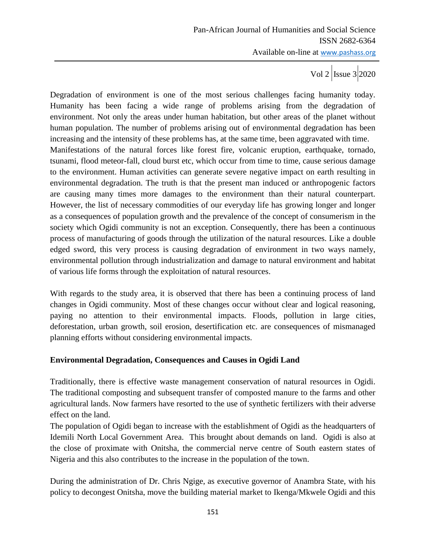Degradation of environment is one of the most serious challenges facing humanity today. Humanity has been facing a wide range of problems arising from the degradation of environment. Not only the areas under human habitation, but other areas of the planet without human population. The number of problems arising out of environmental degradation has been increasing and the intensity of these problems has, at the same time, been aggravated with time. Manifestations of the natural forces like forest fire, volcanic eruption, earthquake, tornado, tsunami, flood meteor-fall, cloud burst etc, which occur from time to time, cause serious damage to the environment. Human activities can generate severe negative impact on earth resulting in environmental degradation. The truth is that the present man induced or anthropogenic factors are causing many times more damages to the environment than their natural counterpart. However, the list of necessary commodities of our everyday life has growing longer and longer as a consequences of population growth and the prevalence of the concept of consumerism in the society which Ogidi community is not an exception. Consequently, there has been a continuous process of manufacturing of goods through the utilization of the natural resources. Like a double edged sword, this very process is causing degradation of environment in two ways namely, environmental pollution through industrialization and damage to natural environment and habitat of various life forms through the exploitation of natural resources.

With regards to the study area, it is observed that there has been a continuing process of land changes in Ogidi community. Most of these changes occur without clear and logical reasoning, paying no attention to their environmental impacts. Floods, pollution in large cities, deforestation, urban growth, soil erosion, desertification etc. are consequences of mismanaged planning efforts without considering environmental impacts.

## **Environmental Degradation, Consequences and Causes in Ogidi Land**

Traditionally, there is effective waste management conservation of natural resources in Ogidi. The traditional composting and subsequent transfer of composted manure to the farms and other agricultural lands. Now farmers have resorted to the use of synthetic fertilizers with their adverse effect on the land.

The population of Ogidi began to increase with the establishment of Ogidi as the headquarters of Idemili North Local Government Area. This brought about demands on land. Ogidi is also at the close of proximate with Onitsha, the commercial nerve centre of South eastern states of Nigeria and this also contributes to the increase in the population of the town.

During the administration of Dr. Chris Ngige, as executive governor of Anambra State, with his policy to decongest Onitsha, move the building material market to Ikenga/Mkwele Ogidi and this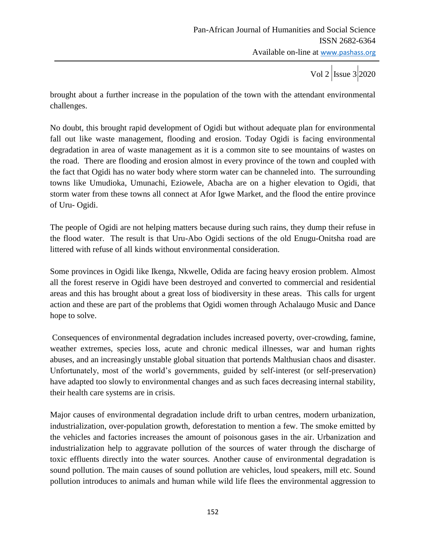brought about a further increase in the population of the town with the attendant environmental challenges.

No doubt, this brought rapid development of Ogidi but without adequate plan for environmental fall out like waste management, flooding and erosion. Today Ogidi is facing environmental degradation in area of waste management as it is a common site to see mountains of wastes on the road. There are flooding and erosion almost in every province of the town and coupled with the fact that Ogidi has no water body where storm water can be channeled into. The surrounding towns like Umudioka, Umunachi, Eziowele, Abacha are on a higher elevation to Ogidi, that storm water from these towns all connect at Afor Igwe Market, and the flood the entire province of Uru- Ogidi.

The people of Ogidi are not helping matters because during such rains, they dump their refuse in the flood water. The result is that Uru-Abo Ogidi sections of the old Enugu-Onitsha road are littered with refuse of all kinds without environmental consideration.

Some provinces in Ogidi like Ikenga, Nkwelle, Odida are facing heavy erosion problem. Almost all the forest reserve in Ogidi have been destroyed and converted to commercial and residential areas and this has brought about a great loss of biodiversity in these areas. This calls for urgent action and these are part of the problems that Ogidi women through Achalaugo Music and Dance hope to solve.

Consequences of environmental degradation includes increased poverty, over-crowding, famine, weather extremes, species loss, acute and chronic medical illnesses, war and human rights abuses, and an increasingly unstable global situation that portends Malthusian chaos and disaster. Unfortunately, most of the world"s governments, guided by self-interest (or self-preservation) have adapted too slowly to environmental changes and as such faces decreasing internal stability, their health care systems are in crisis.

Major causes of environmental degradation include drift to urban centres, modern urbanization, industrialization, over-population growth, deforestation to mention a few. The smoke emitted by the vehicles and factories increases the amount of poisonous gases in the air. Urbanization and industrialization help to aggravate pollution of the sources of water through the discharge of toxic effluents directly into the water sources. Another cause of environmental degradation is sound pollution. The main causes of sound pollution are vehicles, loud speakers, mill etc. Sound pollution introduces to animals and human while wild life flees the environmental aggression to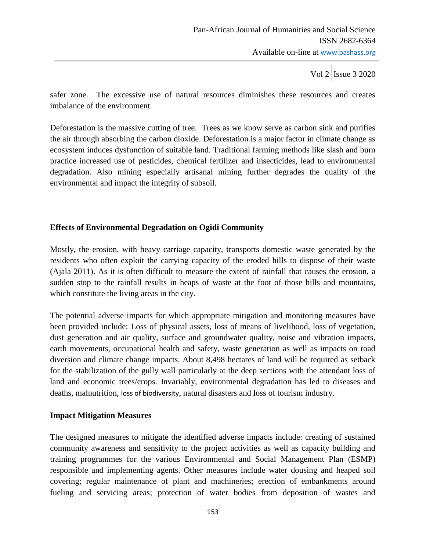safer zone. The excessive use of natural resources diminishes these resources and creates imbalance of the environment.

Deforestation is the massive cutting of tree. Trees as we know serve as carbon sink and purifies the air through absorbing the carbon dioxide. Deforestation is a major factor in climate change as ecosystem induces dysfunction of suitable land. Traditional farming methods like slash and burn practice increased use of pesticides, chemical fertilizer and insecticides, lead to environmental degradation. Also mining especially artisanal mining further degrades the quality of the environmental and impact the integrity of subsoil.

## **Effects of Environmental Degradation on Ogidi Community**

Mostly, the erosion, with heavy carriage capacity, transports domestic waste generated by the residents who often exploit the carrying capacity of the eroded hills to dispose of their waste (Ajala 2011). As it is often difficult to measure the extent of rainfall that causes the erosion, a sudden stop to the rainfall results in heaps of waste at the foot of those hills and mountains, which constitute the living areas in the city.

The potential adverse impacts for which appropriate mitigation and monitoring measures have been provided include: Loss of physical assets, loss of means of livelihood, loss of vegetation, dust generation and air quality, surface and groundwater quality, noise and vibration impacts, earth movements, occupational health and safety, waste generation as well as impacts on road diversion and climate change impacts. About 8,498 hectares of land will be required as setback for the stabilization of the gully wall particularly at the deep sections with the attendant loss of land and economic trees/crops. Invariably, **e**nvironmental degradation has led to diseases and deaths, malnutrition, [loss of biodiversity](http://www.conserve-energy-future.com/what-is-biodiversity.php), natural disasters and **l**oss of tourism industry.

### **Impact Mitigation Measures**

The designed measures to mitigate the identified adverse impacts include: creating of sustained community awareness and sensitivity to the project activities as well as capacity building and training programmes for the various Environmental and Social Management Plan (ESMP) responsible and implementing agents. Other measures include water dousing and heaped soil covering; regular maintenance of plant and machineries; erection of embankments around fueling and servicing areas; protection of water bodies from deposition of wastes and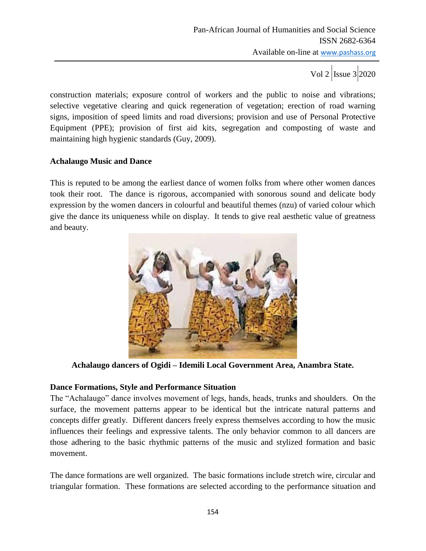construction materials; exposure control of workers and the public to noise and vibrations; selective vegetative clearing and quick regeneration of vegetation; erection of road warning signs, imposition of speed limits and road diversions; provision and use of Personal Protective Equipment (PPE); provision of first aid kits, segregation and composting of waste and maintaining high hygienic standards (Guy, 2009).

## **Achalaugo Music and Dance**

This is reputed to be among the earliest dance of women folks from where other women dances took their root. The dance is rigorous, accompanied with sonorous sound and delicate body expression by the women dancers in colourful and beautiful themes (nzu) of varied colour which give the dance its uniqueness while on display. It tends to give real aesthetic value of greatness and beauty.



**Achalaugo dancers of Ogidi – Idemili Local Government Area, Anambra State.**

# **Dance Formations, Style and Performance Situation**

The "Achalaugo" dance involves movement of legs, hands, heads, trunks and shoulders. On the surface, the movement patterns appear to be identical but the intricate natural patterns and concepts differ greatly. Different dancers freely express themselves according to how the music influences their feelings and expressive talents. The only behavior common to all dancers are those adhering to the basic rhythmic patterns of the music and stylized formation and basic movement.

The dance formations are well organized. The basic formations include stretch wire, circular and triangular formation. These formations are selected according to the performance situation and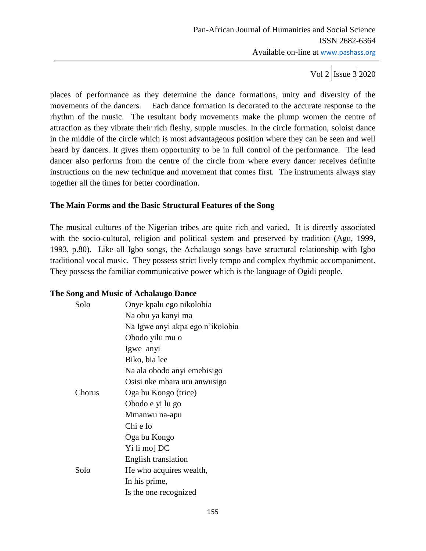places of performance as they determine the dance formations, unity and diversity of the movements of the dancers. Each dance formation is decorated to the accurate response to the rhythm of the music. The resultant body movements make the plump women the centre of attraction as they vibrate their rich fleshy, supple muscles. In the circle formation, soloist dance in the middle of the circle which is most advantageous position where they can be seen and well heard by dancers. It gives them opportunity to be in full control of the performance. The lead dancer also performs from the centre of the circle from where every dancer receives definite instructions on the new technique and movement that comes first. The instruments always stay together all the times for better coordination.

## **The Main Forms and the Basic Structural Features of the Song**

The musical cultures of the Nigerian tribes are quite rich and varied. It is directly associated with the socio-cultural, religion and political system and preserved by tradition (Agu, 1999, 1993, p.80). Like all Igbo songs, the Achalaugo songs have structural relationship with Igbo traditional vocal music. They possess strict lively tempo and complex rhythmic accompaniment. They possess the familiar communicative power which is the language of Ogidi people.

## **The Song and Music of Achalaugo Dance**

| Solo   | Onye kpalu ego nikolobia         |  |  |
|--------|----------------------------------|--|--|
|        | Na obu ya kanyi ma               |  |  |
|        | Na Igwe anyi akpa ego n'ikolobia |  |  |
|        | Obodo yilu mu o                  |  |  |
|        | Igwe anyi                        |  |  |
|        | Biko, bia lee                    |  |  |
|        | Na ala obodo anyi emebisigo      |  |  |
|        | Osisi nke mbara uru anwusigo     |  |  |
| Chorus | Oga bu Kongo (trice)             |  |  |
|        | Obodo e yi lu go                 |  |  |
|        | Mmanwu na-apu                    |  |  |
|        | Chi e fo                         |  |  |
|        | Oga bu Kongo                     |  |  |
|        | Yi li mo] DC                     |  |  |
|        | English translation              |  |  |
| Solo   | He who acquires wealth,          |  |  |
|        | In his prime,                    |  |  |
|        | Is the one recognized            |  |  |
|        |                                  |  |  |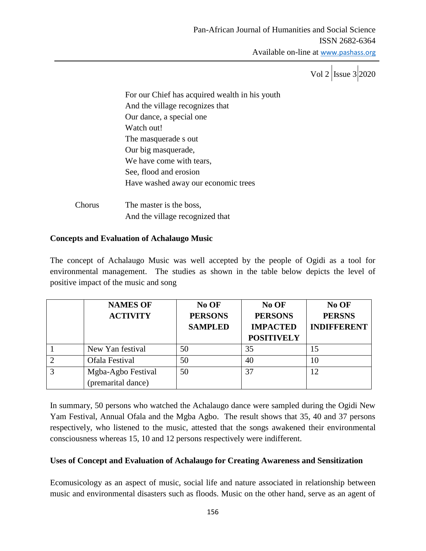Vol 2  $\vert$ Issue 3 2020

For our Chief has acquired wealth in his youth And the village recognizes that Our dance, a special one Watch out! The masquerade s out Our big masquerade, We have come with tears, See, flood and erosion Have washed away our economic trees Chorus The master is the boss,

And the village recognized that

# **Concepts and Evaluation of Achalaugo Music**

The concept of Achalaugo Music was well accepted by the people of Ogidi as a tool for environmental management. The studies as shown in the table below depicts the level of positive impact of the music and song

|   | <b>NAMES OF</b><br><b>ACTIVITY</b>       | No OF<br><b>PERSONS</b><br><b>SAMPLED</b> | No OF<br><b>PERSONS</b><br><b>IMPACTED</b><br><b>POSITIVELY</b> | No OF<br><b>PERSNS</b><br><b>INDIFFERENT</b> |
|---|------------------------------------------|-------------------------------------------|-----------------------------------------------------------------|----------------------------------------------|
|   | New Yan festival                         | 50                                        | 35                                                              | 15                                           |
| ∍ | Ofala Festival                           | 50                                        | 40                                                              | 10                                           |
| 3 | Mgba-Agbo Festival<br>(premarital dance) | 50                                        | 37                                                              | 12                                           |

In summary, 50 persons who watched the Achalaugo dance were sampled during the Ogidi New Yam Festival, Annual Ofala and the Mgba Agbo. The result shows that 35, 40 and 37 persons respectively, who listened to the music, attested that the songs awakened their environmental consciousness whereas 15, 10 and 12 persons respectively were indifferent.

# **Uses of Concept and Evaluation of Achalaugo for Creating Awareness and Sensitization**

Ecomusicology as an aspect of music, social life and nature associated in relationship between music and environmental disasters such as floods. Music on the other hand, serve as an agent of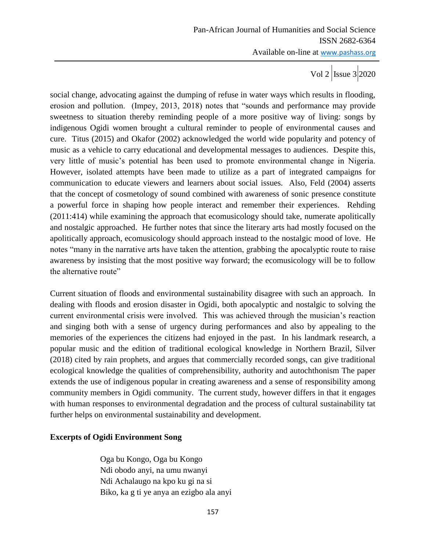Vol 2  $\vert$ Issue 3 2020

social change, advocating against the dumping of refuse in water ways which results in flooding, erosion and pollution. (Impey, 2013, 2018) notes that "sounds and performance may provide sweetness to situation thereby reminding people of a more positive way of living: songs by indigenous Ogidi women brought a cultural reminder to people of environmental causes and cure. Titus (2015) and Okafor (2002) acknowledged the world wide popularity and potency of music as a vehicle to carry educational and developmental messages to audiences. Despite this, very little of music"s potential has been used to promote environmental change in Nigeria. However, isolated attempts have been made to utilize as a part of integrated campaigns for communication to educate viewers and learners about social issues. Also, Feld (2004) asserts that the concept of cosmetology of sound combined with awareness of sonic presence constitute a powerful force in shaping how people interact and remember their experiences. Rehding (2011:414) while examining the approach that ecomusicology should take, numerate apolitically and nostalgic approached. He further notes that since the literary arts had mostly focused on the apolitically approach, ecomusicology should approach instead to the nostalgic mood of love. He notes "many in the narrative arts have taken the attention, grabbing the apocalyptic route to raise awareness by insisting that the most positive way forward; the ecomusicology will be to follow the alternative route"

Current situation of floods and environmental sustainability disagree with such an approach. In dealing with floods and erosion disaster in Ogidi, both apocalyptic and nostalgic to solving the current environmental crisis were involved. This was achieved through the musician"s reaction and singing both with a sense of urgency during performances and also by appealing to the memories of the experiences the citizens had enjoyed in the past. In his landmark research, a popular music and the edition of traditional ecological knowledge in Northern Brazil, Silver (2018) cited by rain prophets, and argues that commercially recorded songs, can give traditional ecological knowledge the qualities of comprehensibility, authority and autochthonism The paper extends the use of indigenous popular in creating awareness and a sense of responsibility among community members in Ogidi community. The current study, however differs in that it engages with human responses to environmental degradation and the process of cultural sustainability tat further helps on environmental sustainability and development.

## **Excerpts of Ogidi Environment Song**

Oga bu Kongo, Oga bu Kongo Ndi obodo anyi, na umu nwanyi Ndi Achalaugo na kpo ku gi na si Biko, ka g ti ye anya an ezigbo ala anyi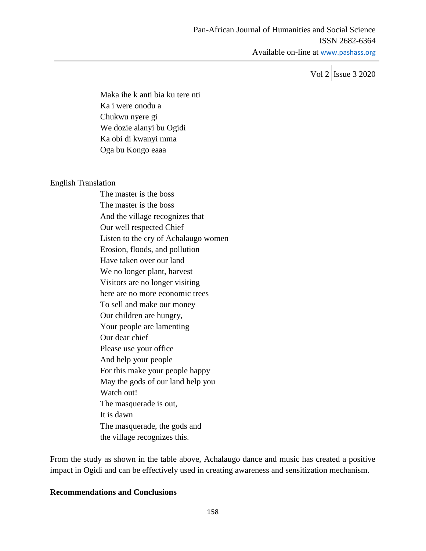Vol 2  $\vert$ Issue 3 2020

Maka ihe k anti bia ku tere nti Ka i were onodu a Chukwu nyere gi We dozie alanyi bu Ogidi Ka obi di kwanyi mma Oga bu Kongo eaaa

### English Translation

The master is the boss The master is the boss And the village recognizes that Our well respected Chief Listen to the cry of Achalaugo women Erosion, floods, and pollution Have taken over our land We no longer plant, harvest Visitors are no longer visiting here are no more economic trees To sell and make our money Our children are hungry, Your people are lamenting Our dear chief Please use your office And help your people For this make your people happy May the gods of our land help you Watch out! The masquerade is out, It is dawn The masquerade, the gods and the village recognizes this.

From the study as shown in the table above, Achalaugo dance and music has created a positive impact in Ogidi and can be effectively used in creating awareness and sensitization mechanism.

### **Recommendations and Conclusions**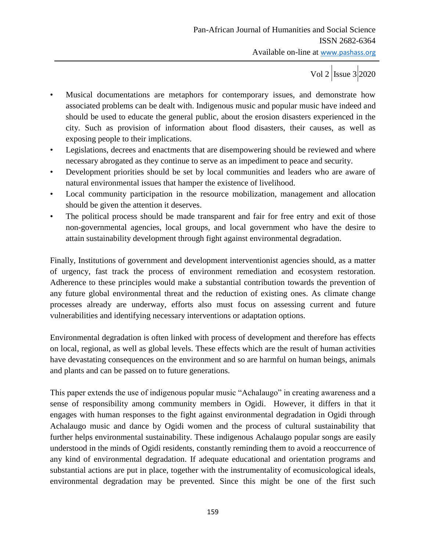- Musical documentations are metaphors for contemporary issues, and demonstrate how associated problems can be dealt with. Indigenous music and popular music have indeed and should be used to educate the general public, about the erosion disasters experienced in the city. Such as provision of information about flood disasters, their causes, as well as exposing people to their implications.
- Legislations, decrees and enactments that are disempowering should be reviewed and where necessary abrogated as they continue to serve as an impediment to peace and security.
- Development priorities should be set by local communities and leaders who are aware of natural environmental issues that hamper the existence of livelihood.
- Local community participation in the resource mobilization, management and allocation should be given the attention it deserves.
- The political process should be made transparent and fair for free entry and exit of those non-governmental agencies, local groups, and local government who have the desire to attain sustainability development through fight against environmental degradation.

Finally, Institutions of government and development interventionist agencies should, as a matter of urgency, fast track the process of environment remediation and ecosystem restoration. Adherence to these principles would make a substantial contribution towards the prevention of any future global environmental threat and the reduction of existing ones. As climate change processes already are underway, efforts also must focus on assessing current and future vulnerabilities and identifying necessary interventions or adaptation options.

Environmental degradation is often linked with process of development and therefore has effects on local, regional, as well as global levels. These effects which are the result of human activities have devastating consequences on the environment and so are harmful on human beings, animals and plants and can be passed on to future generations.

This paper extends the use of indigenous popular music "Achalaugo" in creating awareness and a sense of responsibility among community members in Ogidi. However, it differs in that it engages with human responses to the fight against environmental degradation in Ogidi through Achalaugo music and dance by Ogidi women and the process of cultural sustainability that further helps environmental sustainability. These indigenous Achalaugo popular songs are easily understood in the minds of Ogidi residents, constantly reminding them to avoid a reoccurrence of any kind of environmental degradation. If adequate educational and orientation programs and substantial actions are put in place, together with the instrumentality of ecomusicological ideals, environmental degradation may be prevented. Since this might be one of the first such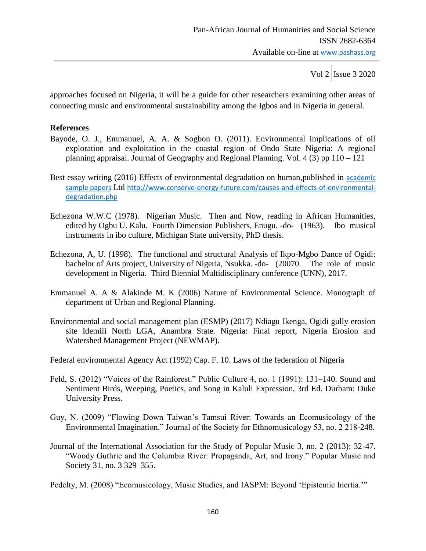approaches focused on Nigeria, it will be a guide for other researchers examining other areas of connecting music and environmental sustainability among the Igbos and in Nigeria in general.

### **References**

- Bayode, O. J., Emmanuel, A. A. & Sogbon O. (2011). Environmental implications of oil exploration and exploitation in the coastal region of Ondo State Nigeria: A regional planning appraisal. Journal of Geography and Regional Planning. Vol. 4 (3) pp  $110 - 121$
- Best essay writing (2016) Effects of environmental degradation on human,published in [academic](https://www.bestessayservices.com/blog/category/academic-sample-papers/)  [sample papers](https://www.bestessayservices.com/blog/category/academic-sample-papers/) Ltd [http://www.conserve-energy-future.com/causes-and-effects-of-environmental](http://www.conserve-energy-future.com/causes-and-effects-of-environmental-degradation.php)[degradation.php](http://www.conserve-energy-future.com/causes-and-effects-of-environmental-degradation.php)
- Echezona W.W.C (1978). Nigerian Music. Then and Now, reading in African Humanities, edited by Ogbu U. Kalu. Fourth Dimension Publishers, Enugu. -do- (1963). Ibo musical instruments in ibo culture, Michigan State university, PhD thesis.
- Echezona, A, U. (1998). The functional and structural Analysis of Ikpo-Mgbo Dance of Ogidi: bachelor of Arts project, University of Nigeria, Nsukka. -do- (20070. The role of music development in Nigeria. Third Biennial Multidisciplinary conference (UNN), 2017.
- Emmanuel A. A & Alakinde M. K (2006) Nature of Environmental Science. Monograph of department of Urban and Regional Planning.
- Environmental and social management plan (ESMP) (2017) Ndiagu Ikenga, Ogidi gully erosion site Idemili North LGA, Anambra State. Nigeria: Final report, Nigeria Erosion and Watershed Management Project (NEWMAP).

Federal environmental Agency Act (1992) Cap. F. 10. Laws of the federation of Nigeria

- Feld, S. (2012) "Voices of the Rainforest." Public Culture 4, no. 1 (1991): 131–140. Sound and Sentiment Birds, Weeping, Poetics, and Song in Kaluli Expression, 3rd Ed. Durham: Duke University Press.
- Guy, N. (2009) "Flowing Down Taiwan"s Tamsui River: Towards an Ecomusicology of the Environmental Imagination." Journal of the Society for Ethnomusicology 53, no. 2 218-248.
- Journal of the International Association for the Study of Popular Music 3, no. 2 (2013): 32-47. "Woody Guthrie and the Columbia River: Propaganda, Art, and Irony." Popular Music and Society 31, no. 3 329–355.

Pedelty, M. (2008) "Ecomusicology, Music Studies, and IASPM: Beyond "Epistemic Inertia.""